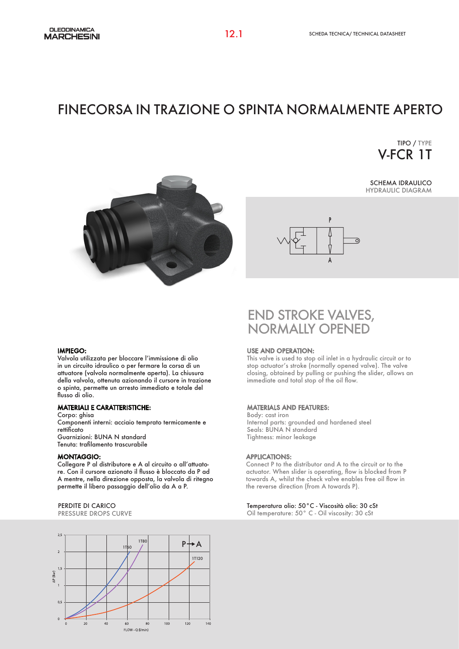# FINECORSA IN TRAZIONE O SPINTA NORMALMENTE APERTO

TIPO / TYPE V-FCR 1T







### IMPIEGO:

Valvola utilizzata per bloccare l'immissione di olio in un circuito idraulico o per fermare la corsa di un attuatore (valvola normalmente aperta). La chiusura della valvola, ottenuta azionando il cursore in trazione o spinta, permette un arresto immediato e totale del flusso di olio.

### MATERIALI E CARATTERISTICHE:

Corpo: ghisa Componenti interni: acciaio temprato termicamente e rettificato Guarnizioni: BUNA N standard

Tenuta: trafilamento trascurabile

Collegare P al distributore e A al circuito o all'attuatore. Con il cursore azionato il flusso è bloccato da P ad A mentre, nella direzione opposta, la valvola di ritegno permette il libero passaggio dell'olio da A a P.

### PERDITE DI CARICO

PRESSURE DROPS CURVE



## END STROKE VALVES, NORMALLY OPENED

### USE AND OPERATION:

This valve is used to stop oil inlet in a hydraulic circuit or to stop actuator's stroke (normally opened valve). The valve closing, obtained by pulling or pushing the slider, allows an immediate and total stop of the oil flow.

### MATERIALS AND FEATURES:

Body: cast iron Internal parts: grounded and hardened steel Seals: BUNA N standard Tightness: minor leakage

### MONTAGGIO: APPLICATIONS:

Connect P to the distributor and A to the circuit or to the actuator. When slider is operating, flow is blocked from P towards A, whilst the check valve enables free oil flow in the reverse direction (from A towards P).

### Temperatura olio: 50°C - Viscosità olio: 30 cSt

Oil temperature: 50° C - Oil viscosity: 30 cSt